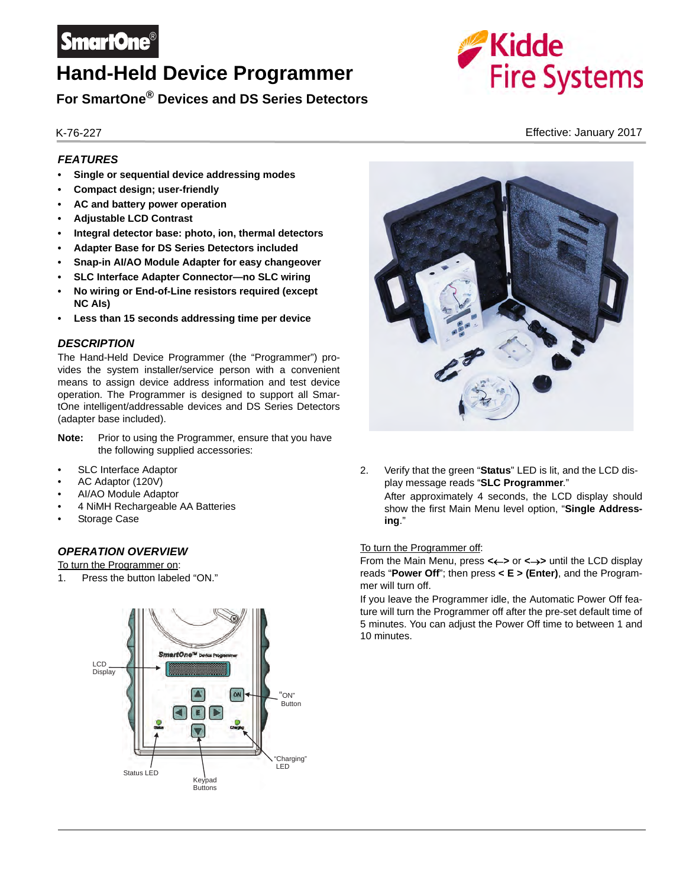

# **Hand-Held Device Programmer**

**For SmartOne® Devices and DS Series Detectors**

# *FEATURES*

- **Single or sequential device addressing modes**
- **Compact design; user-friendly**
- **AC and battery power operation**
- **Adjustable LCD Contrast**
- **Integral detector base: photo, ion, thermal detectors**
- **Adapter Base for DS Series Detectors included**
- **Snap-in AI/AO Module Adapter for easy changeover**
- **SLC Interface Adapter Connector—no SLC wiring**
- **No wiring or End-of-Line resistors required (except NC AIs)**
- **Less than 15 seconds addressing time per device**

#### *DESCRIPTION*

The Hand-Held Device Programmer (the "Programmer") provides the system installer/service person with a convenient means to assign device address information and test device operation. The Programmer is designed to support all SmartOne intelligent/addressable devices and DS Series Detectors (adapter base included).

- **Note:** Prior to using the Programmer, ensure that you have the following supplied accessories:
- SLC Interface Adaptor
- AC Adaptor (120V)
- AI/AO Module Adaptor
- 4 NiMH Rechargeable AA Batteries
- Storage Case

# *OPERATION OVERVIEW*

To turn the Programmer on:

1. Press the button labeled "ON."





2. Verify that the green "**Status**" LED is lit, and the LCD display message reads "**SLC Programmer**." After approximately 4 seconds, the LCD display should

show the first Main Menu level option, "**Single Addressing**."

#### To turn the Programmer off:

From the Main Menu, press <<- > or <->> until the LCD display reads "**Power Off**"; then press **< E > (Enter)**, and the Programmer will turn off.

If you leave the Programmer idle, the Automatic Power Off feature will turn the Programmer off after the pre-set default time of 5 minutes. You can adjust the Power Off time to between 1 and 10 minutes.



K-76-227 Effective: January 2017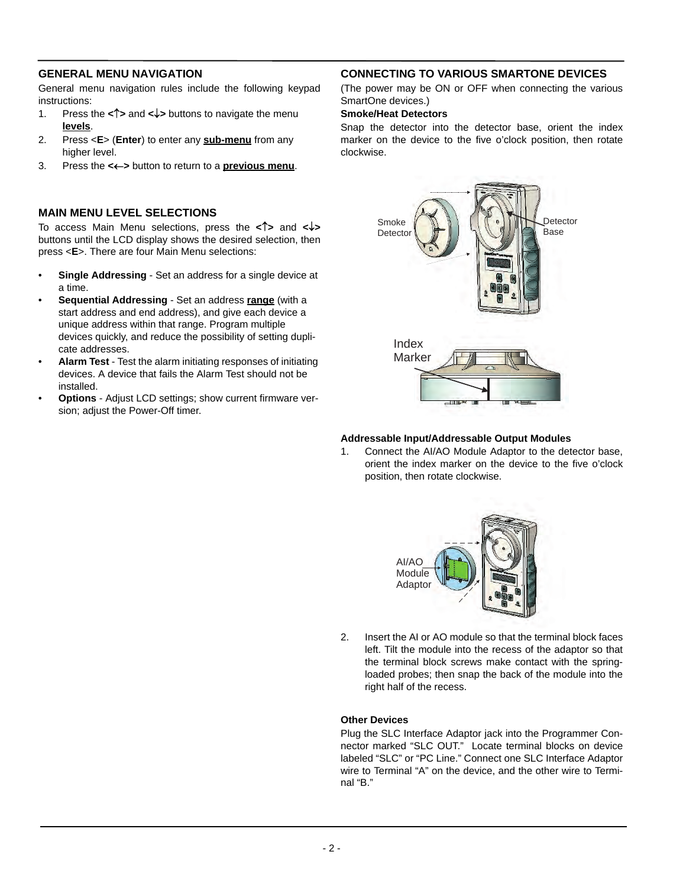### **GENERAL MENU NAVIGATION**

General menu navigation rules include the following keypad instructions:

- 1. Press the <1<sup>2</sup>> and < $\downarrow$ > buttons to navigate the menu **levels**.
- 2. Press <**E**> (**Enter**) to enter any **sub-menu** from any higher level.
- 3. Press the **<>** button to return to a **previous menu**.

#### **MAIN MENU LEVEL SELECTIONS**

To access Main Menu selections, press the **<>** and **<>** buttons until the LCD display shows the desired selection, then press <**E**>. There are four Main Menu selections:

- **Single Addressing** Set an address for a single device at a time.
- **Sequential Addressing** Set an address **range** (with a start address and end address), and give each device a unique address within that range. Program multiple devices quickly, and reduce the possibility of setting duplicate addresses.
- **Alarm Test** Test the alarm initiating responses of initiating devices. A device that fails the Alarm Test should not be installed.
- **Options** Adjust LCD settings; show current firmware version; adjust the Power-Off timer.

# **CONNECTING TO VARIOUS SMARTONE DEVICES**

(The power may be ON or OFF when connecting the various SmartOne devices.)

#### **Smoke/Heat Detectors**

Snap the detector into the detector base, orient the index marker on the device to the five o'clock position, then rotate clockwise.



#### **Addressable Input/Addressable Output Modules**

1. Connect the AI/AO Module Adaptor to the detector base, orient the index marker on the device to the five o'clock position, then rotate clockwise.



2. Insert the AI or AO module so that the terminal block faces left. Tilt the module into the recess of the adaptor so that the terminal block screws make contact with the springloaded probes; then snap the back of the module into the right half of the recess.

#### **Other Devices**

Plug the SLC Interface Adaptor jack into the Programmer Connector marked "SLC OUT." Locate terminal blocks on device labeled "SLC" or "PC Line." Connect one SLC Interface Adaptor wire to Terminal "A" on the device, and the other wire to Terminal "B."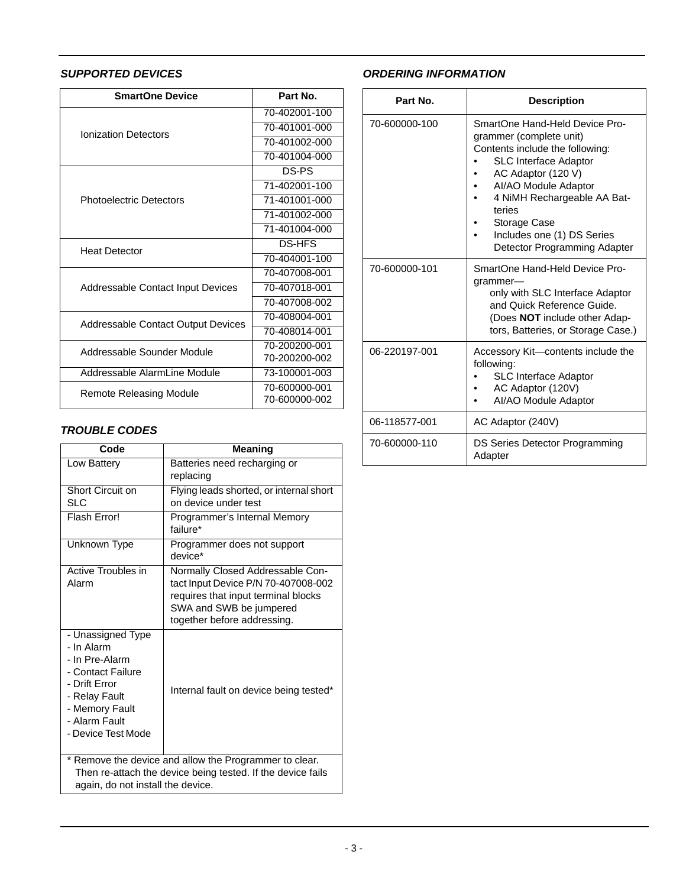# *SUPPORTED DEVICES*

| <b>SmartOne Device</b>             | Part No.      |
|------------------------------------|---------------|
| <b>Ionization Detectors</b>        | 70-402001-100 |
|                                    | 70-401001-000 |
|                                    | 70-401002-000 |
|                                    | 70-401004-000 |
| <b>Photoelectric Detectors</b>     | DS-PS         |
|                                    | 71-402001-100 |
|                                    | 71-401001-000 |
|                                    | 71-401002-000 |
|                                    | 71-401004-000 |
| <b>Heat Detector</b>               | <b>DS-HFS</b> |
|                                    | 70-404001-100 |
| Addressable Contact Input Devices  | 70-407008-001 |
|                                    | 70-407018-001 |
|                                    | 70-407008-002 |
| Addressable Contact Output Devices | 70-408004-001 |
|                                    | 70-408014-001 |
| Addressable Sounder Module         | 70-200200-001 |
|                                    | 70-200200-002 |
| Addressable AlarmLine Module       | 73-100001-003 |
| <b>Remote Releasing Module</b>     | 70-600000-001 |
|                                    | 70-600000-002 |

#### *TROUBLE CODES*

| Code                                                                                                                  | <b>Meaning</b>                          |  |
|-----------------------------------------------------------------------------------------------------------------------|-----------------------------------------|--|
| Low Battery                                                                                                           | Batteries need recharging or            |  |
|                                                                                                                       | replacing                               |  |
| Short Circuit on                                                                                                      | Flying leads shorted, or internal short |  |
| <b>SLC</b>                                                                                                            | on device under test                    |  |
| Flash Error!                                                                                                          | Programmer's Internal Memory            |  |
|                                                                                                                       | failure*                                |  |
| Unknown Type                                                                                                          | Programmer does not support             |  |
|                                                                                                                       | device*                                 |  |
| <b>Active Troubles in</b>                                                                                             | Normally Closed Addressable Con-        |  |
| Alarm                                                                                                                 | tact Input Device P/N 70-407008-002     |  |
|                                                                                                                       | requires that input terminal blocks     |  |
|                                                                                                                       | SWA and SWB be jumpered                 |  |
|                                                                                                                       | together before addressing.             |  |
| - Unassigned Type                                                                                                     |                                         |  |
| - In Alarm                                                                                                            |                                         |  |
| - In Pre-Alarm                                                                                                        |                                         |  |
| - Contact Failure                                                                                                     |                                         |  |
| - Drift Frror                                                                                                         | Internal fault on device being tested*  |  |
| - Relay Fault                                                                                                         |                                         |  |
| - Memory Fault<br>- Alarm Fault                                                                                       |                                         |  |
| - Device Test Mode                                                                                                    |                                         |  |
|                                                                                                                       |                                         |  |
|                                                                                                                       |                                         |  |
| * Remove the device and allow the Programmer to clear.<br>Then re-attach the device being tested. If the device fails |                                         |  |
| again, do not install the device.                                                                                     |                                         |  |
|                                                                                                                       |                                         |  |

# *ORDERING INFORMATION*

| Part No.      | <b>Description</b>                                                                                                                                                                                                                                                                                |
|---------------|---------------------------------------------------------------------------------------------------------------------------------------------------------------------------------------------------------------------------------------------------------------------------------------------------|
| 70-600000-100 | SmartOne Hand-Held Device Pro-<br>grammer (complete unit)<br>Contents include the following:<br><b>SLC Interface Adaptor</b><br>AC Adaptor (120 V)<br>AI/AO Module Adaptor<br>4 NiMH Rechargeable AA Bat-<br>teries<br>Storage Case<br>Includes one (1) DS Series<br>Detector Programming Adapter |
| 70-600000-101 | SmartOne Hand-Held Device Pro-<br>grammer-<br>only with SLC Interface Adaptor<br>and Quick Reference Guide.<br>(Does <b>NOT</b> include other Adap-<br>tors, Batteries, or Storage Case.)                                                                                                         |
| 06-220197-001 | Accessory Kit-contents include the<br>following:<br>SLC Interface Adaptor<br>AC Adaptor (120V)<br>AI/AO Module Adaptor                                                                                                                                                                            |
| 06-118577-001 | AC Adaptor (240V)                                                                                                                                                                                                                                                                                 |
| 70-600000-110 | DS Series Detector Programming<br>Adapter                                                                                                                                                                                                                                                         |